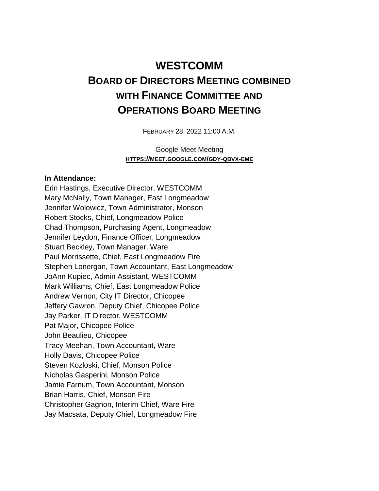## **WESTCOMM BOARD OF DIRECTORS MEETING COMBINED WITH FINANCE COMMITTEE AND OPERATIONS BOARD MEETING**

FEBRUARY 28, 2022 11:00 A.M.

Google Meet Meeting **HTTPS://MEET.GOOGLE.COM/GDY-QBVX-EME**

## **In Attendance:**

Erin Hastings, Executive Director, WESTCOMM Mary McNally, Town Manager, East Longmeadow Jennifer Wolowicz, Town Administrator, Monson Robert Stocks, Chief, Longmeadow Police Chad Thompson, Purchasing Agent, Longmeadow Jennifer Leydon, Finance Officer, Longmeadow Stuart Beckley, Town Manager, Ware Paul Morrissette, Chief, East Longmeadow Fire Stephen Lonergan, Town Accountant, East Longmeadow JoAnn Kupiec, Admin Assistant, WESTCOMM Mark Williams, Chief, East Longmeadow Police Andrew Vernon, City IT Director, Chicopee Jeffery Gawron, Deputy Chief, Chicopee Police Jay Parker, IT Director, WESTCOMM Pat Major, Chicopee Police John Beaulieu, Chicopee Tracy Meehan, Town Accountant, Ware Holly Davis, Chicopee Police Steven Kozloski, Chief, Monson Police Nicholas Gasperini, Monson Police Jamie Farnum, Town Accountant, Monson Brian Harris, Chief, Monson Fire Christopher Gagnon, Interim Chief, Ware Fire Jay Macsata, Deputy Chief, Longmeadow Fire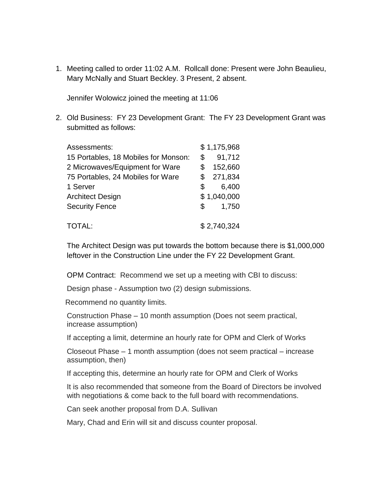1. Meeting called to order 11:02 A.M. Rollcall done: Present were John Beaulieu, Mary McNally and Stuart Beckley. 3 Present, 2 absent.

Jennifer Wolowicz joined the meeting at 11:06

2. Old Business: FY 23 Development Grant: The FY 23 Development Grant was submitted as follows:

| Assessments:                         | \$1,175,968 |             |
|--------------------------------------|-------------|-------------|
| 15 Portables, 18 Mobiles for Monson: | \$          | 91,712      |
| 2 Microwaves/Equipment for Ware      | \$          | 152,660     |
| 75 Portables, 24 Mobiles for Ware    | \$          | 271,834     |
| 1 Server                             | \$          | 6,400       |
| <b>Architect Design</b>              |             | \$1,040,000 |
| <b>Security Fence</b>                | \$          | 1,750       |
| TOTAL:                               | \$2,740,324 |             |

The Architect Design was put towards the bottom because there is \$1,000,000 leftover in the Construction Line under the FY 22 Development Grant.

OPM Contract: Recommend we set up a meeting with CBI to discuss:

Design phase - Assumption two (2) design submissions.

Recommend no quantity limits.

Construction Phase – 10 month assumption (Does not seem practical, increase assumption)

If accepting a limit, determine an hourly rate for OPM and Clerk of Works

Closeout Phase – 1 month assumption (does not seem practical – increase assumption, then)

If accepting this, determine an hourly rate for OPM and Clerk of Works

It is also recommended that someone from the Board of Directors be involved with negotiations & come back to the full board with recommendations.

Can seek another proposal from D.A. Sullivan

Mary, Chad and Erin will sit and discuss counter proposal.